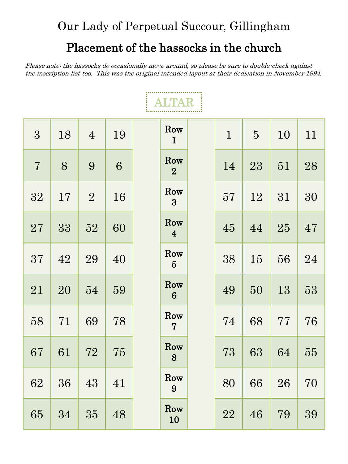Placement of the hassocks in the church

Please note: the hassocks do occasionally move around, so please be sure to double-check against the inscription list too. This was the original intended layout at their dedication in November 1994.

| 3              | 18 | $\overline{4}$ | 19 | Row<br>$\mathbf{1}$    | $\mathbf{1}$ | $\overline{5}$ | 10 | 11 |
|----------------|----|----------------|----|------------------------|--------------|----------------|----|----|
| $\overline{7}$ | 8  | 9              | 6  | Row<br>$\overline{2}$  | 14           | 23             | 51 | 28 |
| 32             | 17 | $\overline{2}$ | 16 | Row<br>$\mathbf{3}$    | 57           | 12             | 31 | 30 |
| 27             | 33 | 52             | 60 | Row<br>$\overline{4}$  | 45           | 44             | 25 | 47 |
| 37             | 42 | 29             | 40 | Row<br>$\overline{5}$  | 38           | 15             | 56 | 24 |
| 21             | 20 | 54             | 59 | Row<br>$6\phantom{1}6$ | 49           | 50             | 13 | 53 |
| 58             | 71 | 69             | 78 | Row<br>$\overline{7}$  | 74           | 68             | 77 | 76 |
| 67             | 61 | 72             | 75 | Row<br>8               | 73           | 63             | 64 | 55 |
| 62             | 36 | 43             | 41 | Row<br>9               | 80           | 66             | 26 | 70 |
| 65             | 34 | 35             | 48 | Row<br>10              | 22           | 46             | 79 | 39 |

# ALTAR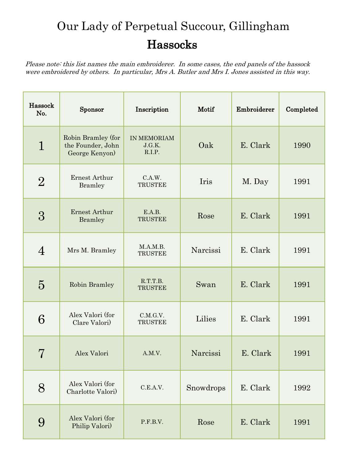| Hassock<br>No. | Sponsor                                                   | Inscription                     | Motif     | Embroiderer | Completed |
|----------------|-----------------------------------------------------------|---------------------------------|-----------|-------------|-----------|
| $\mathbf{1}$   | Robin Bramley (for<br>the Founder, John<br>George Kenyon) | IN MEMORIAM<br>J.G.K.<br>R.I.P. | Oak       | E. Clark    | 1990      |
| $\overline{2}$ | Ernest Arthur<br><b>Bramley</b>                           | C.A.W.<br><b>TRUSTEE</b>        | Iris      | M. Day      | 1991      |
| 3              | <b>Ernest Arthur</b><br><b>Bramley</b>                    | E.A.B.<br><b>TRUSTEE</b>        | Rose      | E. Clark    | 1991      |
| $\overline{4}$ | Mrs M. Bramley                                            | M.A.M.B.<br><b>TRUSTEE</b>      | Narcissi  | E. Clark    | 1991      |
| $\overline{5}$ | Robin Bramley                                             | R.T.T.B.<br><b>TRUSTEE</b>      | Swan      | E. Clark    | 1991      |
| 6              | Alex Valori (for<br>Clare Valori)                         | C.M.G.V.<br><b>TRUSTEE</b>      | Lilies    | E. Clark    | 1991      |
| 7              | Alex Valori                                               | A.M.V.                          | Narcissi  | E. Clark    | 1991      |
| 8              | Alex Valori (for<br>Charlotte Valori)                     | C.E.A.V.                        | Snowdrops | E. Clark    | 1992      |
| 9              | Alex Valori (for<br>Philip Valori)                        | P.F.B.V.                        | Rose      | E. Clark    | 1991      |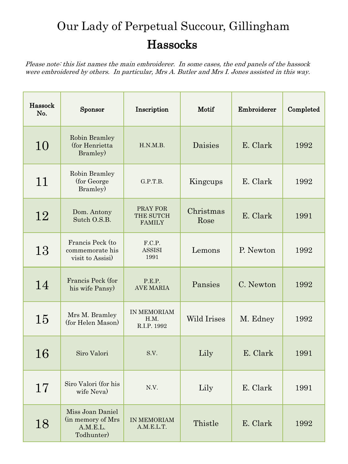| Hassock<br>No. | Sponsor                                                         | Inscription                                   | Motif              | Embroiderer | Completed |
|----------------|-----------------------------------------------------------------|-----------------------------------------------|--------------------|-------------|-----------|
| 10             | Robin Bramley<br>(for Henrietta<br>Bramley)                     | H.N.M.B.                                      | <b>Daisies</b>     | E. Clark    | 1992      |
| 11             | Robin Bramley<br>(for George<br>Bramley)                        | G.P.T.B.                                      | Kingcups           | E. Clark    | 1992      |
| 12             | Dom. Antony<br>Sutch O.S.B.                                     | <b>PRAY FOR</b><br>THE SUTCH<br><b>FAMILY</b> | Christmas<br>Rose  | E. Clark    | 1991      |
| 13             | Francis Peck (to<br>commemorate his<br>visit to Assisi)         | F.C.P.<br><b>ASSISI</b><br>1991               | Lemons             | P. Newton   | 1992      |
| 14             | Francis Peck (for<br>his wife Pansy                             | P.E.P.<br><b>AVE MARIA</b>                    | Pansies            | C. Newton   | 1992      |
| 15             | Mrs M. Bramley<br>(for Helen Mason)                             | IN MEMORIAM<br>H.M.<br>R.I.P. 1992            | <b>Wild Irises</b> | M. Edney    | 1992      |
| 16             | Siro Valori                                                     | S.V.                                          | Lily               | E. Clark    | 1991      |
| 17             | Siro Valori (for his<br>wife Neva)                              | N.V.                                          | Lily               | E. Clark    | 1991      |
| 18             | Miss Joan Daniel<br>(in memory of Mrs<br>A.M.E.L.<br>Todhunter) | IN MEMORIAM<br>A.M.E.L.T.                     | Thistle            | E. Clark    | 1992      |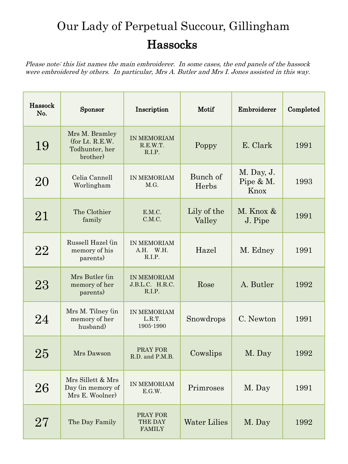| Hassock<br>No. | <b>Sponsor</b>                                                  | Inscription                              | Motif                 | Embroiderer                     | Completed |
|----------------|-----------------------------------------------------------------|------------------------------------------|-----------------------|---------------------------------|-----------|
| 19             | Mrs M. Bramley<br>(for Lt. R.E.W.<br>Todhunter, her<br>brother) | IN MEMORIAM<br>R.E.W.T.<br>R.I.P.        | Poppy                 | E. Clark                        | 1991      |
| 20             | Celia Cannell<br>Worlingham                                     | IN MEMORIAM<br>M.G.                      | Bunch of<br>Herbs     | M. Day, J.<br>Pipe & M.<br>Knox | 1993      |
| 21             | The Clothier<br>family                                          | E.M.C.<br>C.M.C.                         | Lily of the<br>Valley | M. Knox &<br>J. Pipe            | 1991      |
| 22             | Russell Hazel (in<br>memory of his<br>parents)                  | IN MEMORIAM<br>A.H. W.H.<br>R.I.P.       | Hazel                 | M. Edney                        | 1991      |
| 23             | Mrs Butler (in<br>memory of her<br>parents)                     | IN MEMORIAM<br>J.B.L.C. H.R.C.<br>R.I.P. | Rose                  | A. Butler                       | 1992      |
| 24             | Mrs M. Tilney (in<br>memory of her<br>husband)                  | IN MEMORIAM<br>L.R.T.<br>1905-1990       | Snowdrops             | C. Newton                       | 1991      |
| 25             | Mrs Dawson                                                      | PRAY FOR<br>R.D. and P.M.B.              | Cowslips              | M. Day                          | 1992      |
| 26             | Mrs Sillett & Mrs<br>Day (in memory of<br>Mrs E. Woolner)       | IN MEMORIAM<br>E.G.W.                    | Primroses             | M. Day                          | 1991      |
| $27\,$         | The Day Family                                                  | PRAY FOR<br>THE DAY<br><b>FAMILY</b>     | <b>Water Lilies</b>   | M. Day                          | 1992      |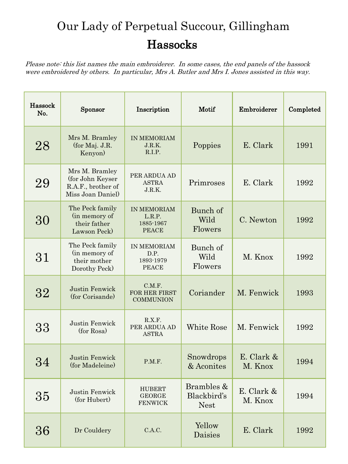| Hassock<br>No. | Sponsor                                                                       | Inscription                                               | Motif                                    | Embroiderer             | Completed |
|----------------|-------------------------------------------------------------------------------|-----------------------------------------------------------|------------------------------------------|-------------------------|-----------|
| 28             | Mrs M. Bramley<br>(for Maj. J.R.<br>Kenyon)                                   | IN MEMORIAM<br>J.R.K.<br>R.I.P.                           | Poppies                                  | E. Clark                | 1991      |
| 29             | Mrs M. Bramley<br>(for John Keyser<br>R.A.F., brother of<br>Miss Joan Daniel) | PER ARDUA AD<br><b>ASTRA</b><br>J.R.K.                    | Primroses                                | E. Clark                | 1992      |
| 30             | The Peck family<br>(in memory of<br>their father<br>Lawson Peck)              | <b>IN MEMORIAM</b><br>L.R.P.<br>1885-1967<br><b>PEACE</b> | Bunch of<br>Wild<br>Flowers              | C. Newton               | 1992      |
| 31             | The Peck family<br>(in memory of<br>their mother<br>Dorothy Peck              | IN MEMORIAM<br>D.P.<br>1893-1979<br><b>PEACE</b>          | Bunch of<br>Wild<br>Flowers              | M. Knox                 | 1992      |
| 32             | <b>Justin Fenwick</b><br>(for Corisande)                                      | C.M.F.<br>FOR HER FIRST<br><b>COMMUNION</b>               | Coriander                                | M. Fenwick              | 1993      |
| 33             | Justin Fenwick<br>(for Rosa)                                                  | R.X.F.<br>PER ARDUA AD<br><b>ASTRA</b>                    | White Rose                               | M. Fenwick              | 1992      |
| 34             | Justin Fenwick<br>(for Madeleine)                                             | P.M.F.                                                    | Snowdrops<br>& Aconites                  | E. Clark $&$<br>M. Knox | 1994      |
| 35             | Justin Fenwick<br>(for Hubert)                                                | <b>HUBERT</b><br><b>GEORGE</b><br><b>FENWICK</b>          | Brambles &<br>Blackbird's<br><b>Nest</b> | E. Clark &<br>M. Knox   | 1994      |
| 36             | Dr Couldery                                                                   | C.A.C.                                                    | Yellow<br>Daisies                        | E. Clark                | 1992      |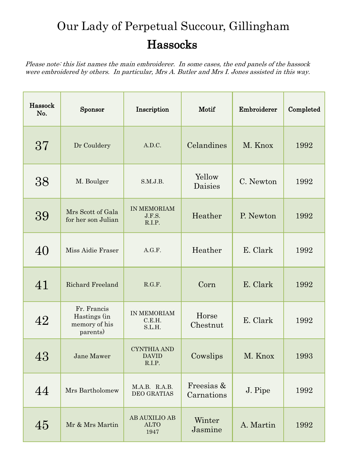| Hassock<br>No. | <b>Sponsor</b>                                           | Inscription                                  | Motif                    | Embroiderer | Completed |
|----------------|----------------------------------------------------------|----------------------------------------------|--------------------------|-------------|-----------|
| 37             | Dr Couldery                                              | A.D.C.                                       | Celandines               | M. Knox     | 1992      |
| 38             | M. Boulger                                               | S.M.J.B.                                     | Yellow<br>Daisies        | C. Newton   | 1992      |
| 39             | Mrs Scott of Gala<br>for her son Julian                  | IN MEMORIAM<br>J.F.S.<br>R.I.P.              | Heather                  | P. Newton   | 1992      |
| 40             | Miss Aidie Fraser                                        | A.G.F.                                       | Heather                  | E. Clark    | 1992      |
| 41             | Richard Freeland                                         | R.G.F.                                       | Corn                     | E. Clark    | 1992      |
| 42             | Fr. Francis<br>Hastings (in<br>memory of his<br>parents) | IN MEMORIAM<br>C.E.H.<br>S.L.H.              | Horse<br>Chestnut        | E. Clark    | 1992      |
| 43             | Jane Mawer                                               | <b>CYNTHIA AND</b><br><b>DAVID</b><br>R.I.P. | Cowslips                 | M. Knox     | 1993      |
| 44             | Mrs Bartholomew                                          | M.A.B. R.A.B.<br>DEO GRATIAS                 | Freesias &<br>Carnations | J. Pipe     | 1992      |
| 45             | Mr & Mrs Martin                                          | <b>AB AUXILIO AB</b><br><b>ALTO</b><br>1947  | Winter<br>Jasmine        | A. Martin   | 1992      |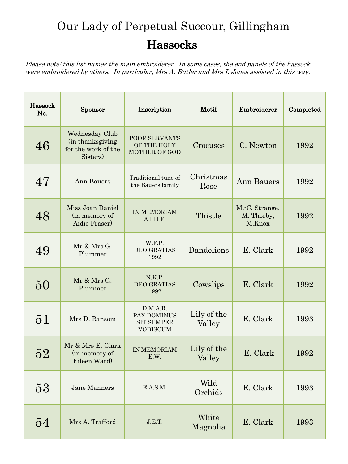| Hassock<br>No. | <b>Sponsor</b>                                                         | Inscription                                                     | Motif                 | Embroiderer                            | Completed |
|----------------|------------------------------------------------------------------------|-----------------------------------------------------------------|-----------------------|----------------------------------------|-----------|
| 46             | Wednesday Club<br>(in thanksgiving)<br>for the work of the<br>Sisters) | POOR SERVANTS<br>OF THE HOLY<br><b>MOTHER OF GOD</b>            | Crocuses              | C. Newton                              | 1992      |
| 47             | Ann Bauers                                                             | Traditional tune of<br>the Bauers family                        | Christmas<br>Rose     | <b>Ann Bauers</b>                      | 1992      |
| 48             | Miss Joan Daniel<br>(in memory of<br>Aidie Fraser)                     | IN MEMORIAM<br>A.I.H.F.                                         | Thistle               | M.-C. Strange,<br>M. Thorby,<br>M.Knox | 1992      |
| 49             | Mr & Mrs G.<br>Plummer                                                 | W.F.P.<br><b>DEO GRATIAS</b><br>1992                            | Dandelions            | E. Clark                               | 1992      |
| 50             | Mr & Mrs G.<br>Plummer                                                 | N.K.P.<br><b>DEO GRATIAS</b><br>1992                            | Cowslips              | E. Clark                               | 1992      |
| 51             | Mrs D. Ransom                                                          | D.M.A.R.<br>PAX DOMINUS<br><b>SIT SEMPER</b><br><b>VOBISCUM</b> | Lily of the<br>Valley | E. Clark                               | 1993      |
| 52             | Mr & Mrs E. Clark<br>(in memory of<br>Eileen Ward)                     | IN MEMORIAM<br>E.W.                                             | Lily of the<br>Valley | E. Clark                               | 1992      |
| 53             | <b>Jane Manners</b>                                                    | E.A.S.M.                                                        | Wild<br>Orchids       | E. Clark                               | 1993      |
| 54             | Mrs A. Trafford                                                        | J.E.T.                                                          | White<br>Magnolia     | E. Clark                               | 1993      |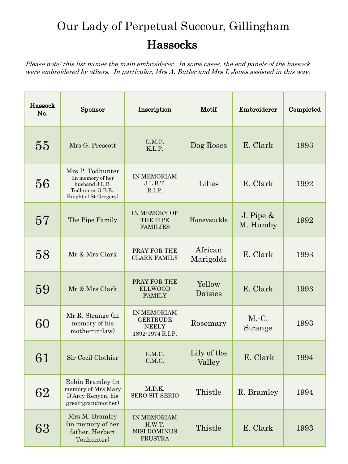| Hassock<br>No. | Sponsor                                                                                               | Inscription                                                        | Motif                 | Embroiderer              | Completed |
|----------------|-------------------------------------------------------------------------------------------------------|--------------------------------------------------------------------|-----------------------|--------------------------|-----------|
| 55             | Mrs G. Prescott                                                                                       | G.M.P.<br>K.L.P.                                                   | Dog Roses             | E. Clark                 | 1993      |
| 56             | Mrs P. Todhunter<br>(in memory of her<br>husband J.L.B.<br>Todhunter O.B.E.,<br>Knight of St Gregory) | IN MEMORIAM<br>J.L.B.T.<br>R.I.P.                                  | Lilies                | E. Clark                 | 1992      |
| 57             | The Pipe Family                                                                                       | IN MEMORY OF<br>THE PIPE<br><b>FAMILIES</b>                        | Honeysuckle           | J. Pipe $\&$<br>M. Humby | 1992      |
| 58             | Mr & Mrs Clark                                                                                        | PRAY FOR THE<br><b>CLARK FAMILY</b>                                | African<br>Marigolds  | E. Clark                 | 1993      |
| 59             | Mr & Mrs Clark                                                                                        | PRAY FOR THE<br><b>ELLWOOD</b><br><b>FAMILY</b>                    | Yellow<br>Daisies     | E. Clark                 | 1993      |
| 60             | Mr R. Strange (in<br>memory of his<br>mother-in-law)                                                  | IN MEMORIAM<br><b>GERTRUDE</b><br><b>NEELY</b><br>1892-1974 R.I.P. | Rosemary              | $M.-C$ .<br>Strange      | 1993      |
| 61             | Sir Cecil Clothier                                                                                    | E.M.C.<br>C.M.C.                                                   | Lily of the<br>Valley | E. Clark                 | 1994      |
| 62             | Robin Bramley (in<br>memory of Mrs Mary<br>D'Arcy Kenyon, his<br>great-grandmother)                   | M.D.K.<br><b>SERO SIT SERIO</b>                                    | Thistle               | R. Bramley               | 1994      |
| 63             | Mrs M. Bramley<br>(in memory of her<br>father, Herbert<br>Todhunter)                                  | IN MEMORIAM<br>H.W.T.<br>NISI DOMINUS<br><b>FRUSTRA</b>            | Thistle               | E. Clark                 | 1993      |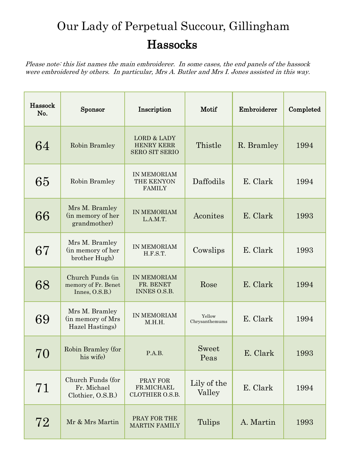| Hassock<br>No. | Sponsor                                                      | Inscription                                                          | Motif                    | Embroiderer | Completed |
|----------------|--------------------------------------------------------------|----------------------------------------------------------------------|--------------------------|-------------|-----------|
| 64             | Robin Bramley                                                | <b>LORD &amp; LADY</b><br><b>HENRY KERR</b><br><b>SERO SIT SERIO</b> | Thistle                  | R. Bramley  | 1994      |
| 65             | Robin Bramley                                                | IN MEMORIAM<br>THE KENYON<br><b>FAMILY</b>                           | Daffodils                | E. Clark    | 1994      |
| 66             | Mrs M. Bramley<br>(in memory of her<br>grandmother)          | IN MEMORIAM<br>L.A.M.T.                                              | Aconites                 | E. Clark    | 1993      |
| 67             | Mrs M. Bramley<br>(in memory of her<br>brother Hugh)         | IN MEMORIAM<br>H.F.S.T.                                              | Cowslips                 | E. Clark    | 1993      |
| 68             | Church Funds (in<br>memory of Fr. Benet<br>Innes, $O.S.B.$ ) | IN MEMORIAM<br>FR. BENET<br>INNES O.S.B.                             | Rose                     | E. Clark    | 1994      |
| 69             | Mrs M. Bramley<br>(in memory of Mrs<br>Hazel Hastings)       | IN MEMORIAM<br>M.H.H.                                                | Yellow<br>Chrysanthemums | E. Clark    | 1994      |
| 70             | Robin Bramley (for<br>his wife)                              | P.A.B.                                                               | Sweet<br>Peas            | E. Clark    | 1993      |
| 71             | Church Funds (for<br>Fr. Michael<br>Clothier, O.S.B.)        | $\rm PRAY$ $\rm FOR$<br>FR.MICHAEL<br>CLOTHIER O.S.B.                | Lily of the<br>Valley    | E. Clark    | 1994      |
| 72             | Mr & Mrs Martin                                              | PRAY FOR THE<br><b>MARTIN FAMILY</b>                                 | Tulips                   | A. Martin   | 1993      |